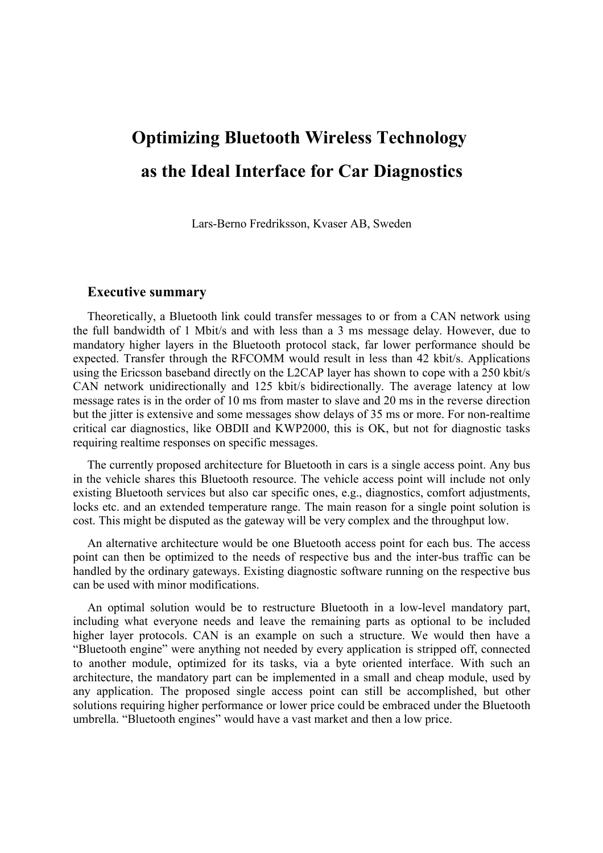# **Optimizing Bluetooth Wireless Technology as the Ideal Interface for Car Diagnostics**

Lars-Berno Fredriksson, Kvaser AB, Sweden

#### **Executive summary**

Theoretically, a Bluetooth link could transfer messages to or from a CAN network using the full bandwidth of 1 Mbit/s and with less than a 3 ms message delay. However, due to mandatory higher layers in the Bluetooth protocol stack, far lower performance should be expected. Transfer through the RFCOMM would result in less than 42 kbit/s. Applications using the Ericsson baseband directly on the L2CAP layer has shown to cope with a 250 kbit/s CAN network unidirectionally and 125 kbit/s bidirectionally. The average latency at low message rates is in the order of 10 ms from master to slave and 20 ms in the reverse direction but the jitter is extensive and some messages show delays of 35 ms or more. For non-realtime critical car diagnostics, like OBDII and KWP2000, this is OK, but not for diagnostic tasks requiring realtime responses on specific messages.

The currently proposed architecture for Bluetooth in cars is a single access point. Any bus in the vehicle shares this Bluetooth resource. The vehicle access point will include not only existing Bluetooth services but also car specific ones, e.g., diagnostics, comfort adjustments, locks etc. and an extended temperature range. The main reason for a single point solution is cost. This might be disputed as the gateway will be very complex and the throughput low.

An alternative architecture would be one Bluetooth access point for each bus. The access point can then be optimized to the needs of respective bus and the inter-bus traffic can be handled by the ordinary gateways. Existing diagnostic software running on the respective bus can be used with minor modifications.

An optimal solution would be to restructure Bluetooth in a low-level mandatory part, including what everyone needs and leave the remaining parts as optional to be included higher layer protocols. CAN is an example on such a structure. We would then have a "Bluetooth engine" were anything not needed by every application is stripped off, connected to another module, optimized for its tasks, via a byte oriented interface. With such an architecture, the mandatory part can be implemented in a small and cheap module, used by any application. The proposed single access point can still be accomplished, but other solutions requiring higher performance or lower price could be embraced under the Bluetooth umbrella. "Bluetooth engines" would have a vast market and then a low price.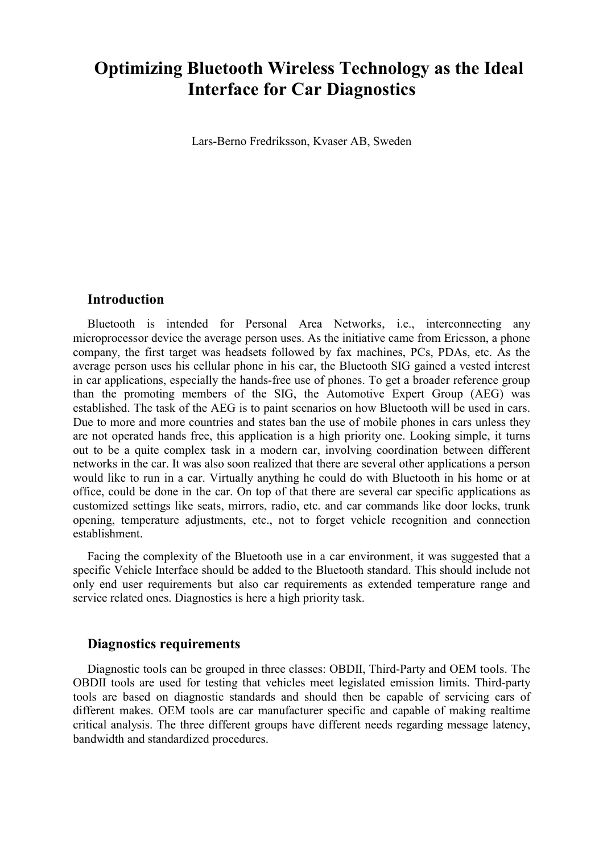# **Optimizing Bluetooth Wireless Technology as the Ideal Interface for Car Diagnostics**

Lars-Berno Fredriksson, Kvaser AB, Sweden

## **Introduction**

Bluetooth is intended for Personal Area Networks, i.e., interconnecting any microprocessor device the average person uses. As the initiative came from Ericsson, a phone company, the first target was headsets followed by fax machines, PCs, PDAs, etc. As the average person uses his cellular phone in his car, the Bluetooth SIG gained a vested interest in car applications, especially the hands-free use of phones. To get a broader reference group than the promoting members of the SIG, the Automotive Expert Group (AEG) was established. The task of the AEG is to paint scenarios on how Bluetooth will be used in cars. Due to more and more countries and states ban the use of mobile phones in cars unless they are not operated hands free, this application is a high priority one. Looking simple, it turns out to be a quite complex task in a modern car, involving coordination between different networks in the car. It was also soon realized that there are several other applications a person would like to run in a car. Virtually anything he could do with Bluetooth in his home or at office, could be done in the car. On top of that there are several car specific applications as customized settings like seats, mirrors, radio, etc. and car commands like door locks, trunk opening, temperature adjustments, etc., not to forget vehicle recognition and connection establishment.

Facing the complexity of the Bluetooth use in a car environment, it was suggested that a specific Vehicle Interface should be added to the Bluetooth standard. This should include not only end user requirements but also car requirements as extended temperature range and service related ones. Diagnostics is here a high priority task.

## **Diagnostics requirements**

Diagnostic tools can be grouped in three classes: OBDII, Third-Party and OEM tools. The OBDII tools are used for testing that vehicles meet legislated emission limits. Third-party tools are based on diagnostic standards and should then be capable of servicing cars of different makes. OEM tools are car manufacturer specific and capable of making realtime critical analysis. The three different groups have different needs regarding message latency, bandwidth and standardized procedures.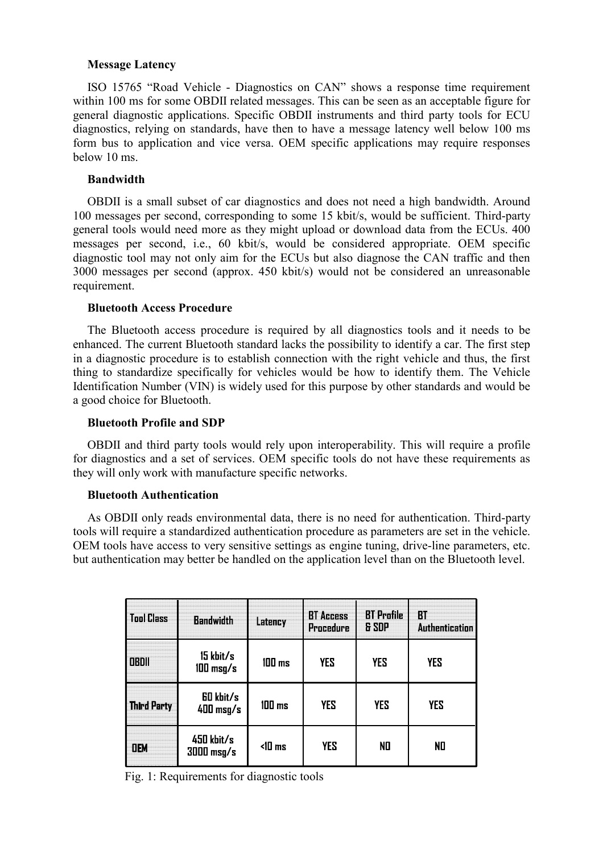#### **Message Latency**

ISO 15765 "Road Vehicle - Diagnostics on CAN" shows a response time requirement within 100 ms for some OBDII related messages. This can be seen as an acceptable figure for general diagnostic applications. Specific OBDII instruments and third party tools for ECU diagnostics, relying on standards, have then to have a message latency well below 100 ms form bus to application and vice versa. OEM specific applications may require responses below 10 ms.

#### **Bandwidth**

OBDII is a small subset of car diagnostics and does not need a high bandwidth. Around 100 messages per second, corresponding to some 15 kbit/s, would be sufficient. Third-party general tools would need more as they might upload or download data from the ECUs. 400 messages per second, i.e., 60 kbit/s, would be considered appropriate. OEM specific diagnostic tool may not only aim for the ECUs but also diagnose the CAN traffic and then 3000 messages per second (approx. 450 kbit/s) would not be considered an unreasonable requirement.

#### **Bluetooth Access Procedure**

The Bluetooth access procedure is required by all diagnostics tools and it needs to be enhanced. The current Bluetooth standard lacks the possibility to identify a car. The first step in a diagnostic procedure is to establish connection with the right vehicle and thus, the first thing to standardize specifically for vehicles would be how to identify them. The Vehicle Identification Number (VIN) is widely used for this purpose by other standards and would be a good choice for Bluetooth.

#### **Bluetooth Profile and SDP**

OBDII and third party tools would rely upon interoperability. This will require a profile for diagnostics and a set of services. OEM specific tools do not have these requirements as they will only work with manufacture specific networks.

#### **Bluetooth Authentication**

As OBDII only reads environmental data, there is no need for authentication. Third-party tools will require a standardized authentication procedure as parameters are set in the vehicle. OEM tools have access to very sensitive settings as engine tuning, drive-line parameters, etc. but authentication may better be handled on the application level than on the Bluetooth level.

| <b>Tool Class</b> | <b>Bandwidth</b>                 | Latency              | <b>BT Access</b><br>Procedure | <b>BT</b> Profile<br>& SDP | <b>BT</b><br><b>Authentication</b> |  |
|-------------------|----------------------------------|----------------------|-------------------------------|----------------------------|------------------------------------|--|
| <b>OBDII</b>      | 15 kbit/s<br>$100 \text{ msg/s}$ | $100$ ms             | <b>YES</b>                    | <b>YES</b>                 | <b>YES</b>                         |  |
| Third Party       | <b>60 kbit/s</b><br>$400$ msg/s  | $100$ ms             | <b>YES</b>                    | <b>YES</b>                 | <b>YES</b>                         |  |
| <b>OEM</b>        | 450 kbit/s<br>$3000$ msg/s       | $\triangleleft$ 0 ms | YES                           | NO                         | NO                                 |  |

Fig. 1: Requirements for diagnostic tools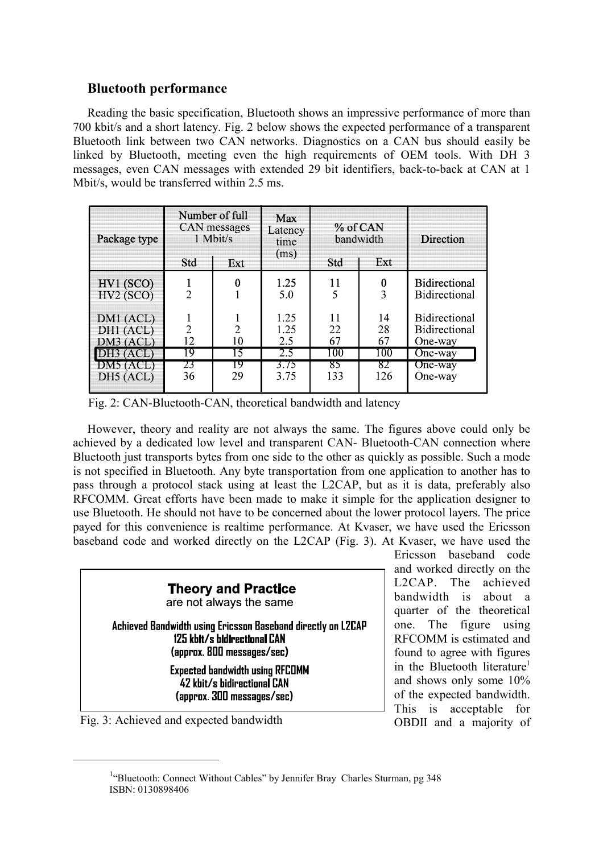# **Bluetooth performance**

Reading the basic specification, Bluetooth shows an impressive performance of more than 700 kbit/s and a short latency. Fig. 2 below shows the expected performance of a transparent Bluetooth link between two CAN networks. Diagnostics on a CAN bus should easily be linked by Bluetooth, meeting even the high requirements of OEM tools. With DH 3 messages, even CAN messages with extended 29 bit identifiers, back-to-back at CAN at 1 Mbit/s, would be transferred within 2.5 ms.

| Package type                          | Number of full<br>CAN messages<br>1 Mbit/s<br>Std<br>Ext |                      | <b>Max</b><br>Latency<br>time<br>(ms) | % of CAN<br>bandwidth<br>Ext<br>Std |                  | Direction                                               |  |
|---------------------------------------|----------------------------------------------------------|----------------------|---------------------------------------|-------------------------------------|------------------|---------------------------------------------------------|--|
| HV1(SCO)<br>HV2(SCO)                  | $\overline{2}$                                           | 0                    | 1.25<br>5.0                           | 11<br>5                             | 0                | <b>Bidirectional</b><br><b>Bidirectional</b>            |  |
| DM1 (ACL)<br>DH1 (ACL)<br>DM3 (ACL)   | $\overline{2}$<br>12                                     | $\overline{2}$<br>10 | 1.25<br>1.25<br>2.5                   | 11<br>22<br>67                      | 14<br>28<br>67   | <b>Bidirectional</b><br><b>Bidirectional</b><br>One-way |  |
| DH3 (ACL)<br>$DM5$ (ACL)<br>DH5 (ACL) | 19<br>23<br>36                                           | 15<br>19<br>29       | 2.5<br>3.75<br>3.75                   | 100<br>85<br>133                    | 100<br>82<br>126 | $\overline{One}$ -way<br>One-way<br>One-way             |  |

Fig. 2: CAN-Bluetooth-CAN, theoretical bandwidth and latency

However, theory and reality are not always the same. The figures above could only be achieved by a dedicated low level and transparent CAN- Bluetooth-CAN connection where Bluetooth just transports bytes from one side to the other as quickly as possible. Such a mode is not specified in Bluetooth. Any byte transportation from one application to another has to pass through a protocol stack using at least the L2CAP, but as it is data, preferably also RFCOMM. Great efforts have been made to make it simple for the application designer to use Bluetooth. He should not have to be concerned about the lower protocol layers. The price payed for this convenience is realtime performance. At Kvaser, we have used the Ericsson baseband code and worked directly on the L2CAP (Fig. 3). At Kvaser, we have used the

| <b>Theory and Practice</b><br>are not always the same                                                                      |
|----------------------------------------------------------------------------------------------------------------------------|
| Achieved Bandwidth using Ericsson Baseband directly on L2CAP<br>125 kbit/s bidirectional CAN<br>(approx. 800 messages/sec) |
| <b>Expected bandwidth using RFCOMM</b><br>42 kbit/s bidirectional CAN<br>(approx. 300 messages/sec)                        |
| $\Gamma$ 2. A shis yed and expected bandwidth                                                                              |

Fig. 3: Achieved and expected bandwidth

Ericsson baseband code and worked directly on the L2CAP. The achieved bandwidth is about a quarter of the theoretical one. The figure using RFCOMM is estimated and found to agree with figures in the Bluetooth literature<sup>1</sup> and shows only some 10% of the expected bandwidth. This is acceptable for OBDII and a majority of

<sup>&</sup>lt;sup>1</sup>"Bluetooth: Connect Without Cables" by Jennifer Bray Charles Sturman, pg 348 ISBN: 0130898406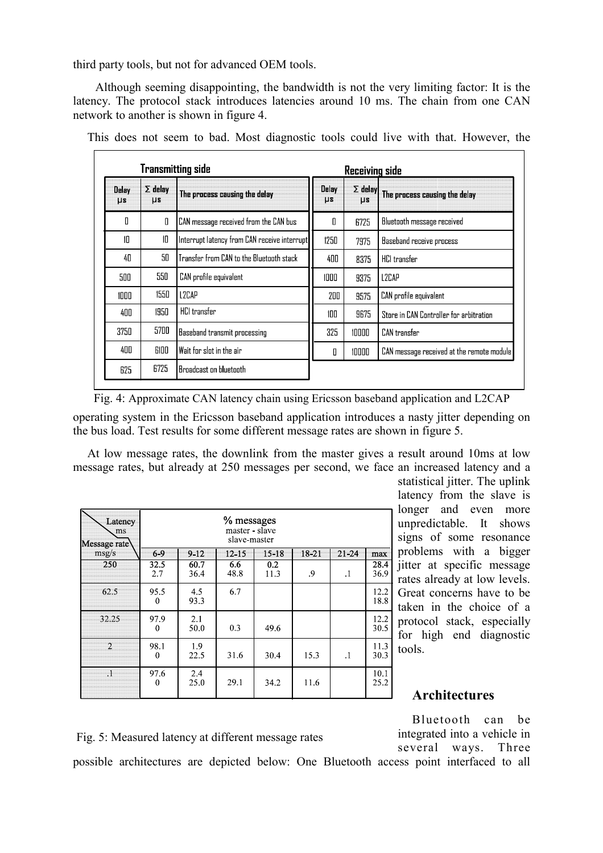third party tools, but not for advanced OEM tools.

 Although seeming disappointing, the bandwidth is not the very limiting factor: It is the latency. The protocol stack introduces latencies around 10 ms. The chain from one CAN network to another is shown in figure 4.

| <b>Transmitting side</b> |                             |                                              |                  | Receiving side                                             |                                           |
|--------------------------|-----------------------------|----------------------------------------------|------------------|------------------------------------------------------------|-------------------------------------------|
| Delay<br>$\mu s$         | $\Sigma$ delay<br><b>US</b> | The process causing the delay                | Delay<br>$\mu s$ | $\Sigma$ delay<br>The process causing the delay<br>$\mu s$ |                                           |
| Л                        | 0                           | CAN message received from the CAN bus        | Π                | 6725                                                       | <b>Bluetooth message received</b>         |
| $\mathsf{I} \mathsf{I}$  | 10                          | Interrupt latency from CAN receive interrupt | 1250             | 7975                                                       | Baseband receive process                  |
| 4П                       | 5N                          | Transfer from CAN to the Bluetooth stack     | 400              | 8375                                                       | <b>HCl</b> transfer                       |
| 500                      | 550                         | CAN profile equivalent                       | 1000             | 9375                                                       | L <sub>2</sub> C <sub>AP</sub>            |
| 1000                     | 1550                        | L2CAP                                        | 200              | 9575                                                       | CAN profile equivalent                    |
| 400                      | 1950                        | <b>HCI</b> transfer                          | 100              | 9675                                                       | Store in CAN Controller for arbitration   |
| 3750                     | 5700                        | Baseband transmit processing                 | 325              | 10000                                                      | CAN transfer                              |
| 400                      | 6100                        | Wait for slot in the air                     | П                | 10000                                                      | CAN message received at the remote module |
| 625                      | 6725                        | Broadcast on bluetooth                       |                  |                                                            |                                           |

This does not seem to bad. Most diagnostic tools could live with that. However, the

Fig. 4: Approximate CAN latency chain using Ericsson baseband application and L2CAP

operating system in the Ericsson baseband application introduces a nasty jitter depending on the bus load. Test results for some different message rates are shown in figure 5.

At low message rates, the downlink from the master gives a result around 10ms at low message rates, but already at 250 messages per second, we face an increased latency and a

| Latency<br>ms<br>Message rate | % messages<br>master - slave<br>slave-master |              |             |             |       |           |              |
|-------------------------------|----------------------------------------------|--------------|-------------|-------------|-------|-----------|--------------|
| msg/s                         | $6 - 9$                                      | $9 - 12$     | $12 - 15$   | $15 - 18$   | 18-21 | $21 - 24$ | max          |
| 250                           | 32.5<br>2.7                                  | 60.7<br>36.4 | 6.6<br>48.8 | 0.2<br>11.3 | .9    | $\cdot$ 1 | 28.4<br>36.9 |
| 62.5                          | 95.5<br>$\theta$                             | 4.5<br>93.3  | 6.7         |             |       |           | 12.2<br>18.8 |
| 32.25                         | 97.9<br>$\theta$                             | 2.1<br>50.0  | 0.3         | 49.6        |       |           | 12.2<br>30.5 |
| $\mathfrak{D}$                | 98.1<br>$\mathbf{0}$                         | 1.9<br>22.5  | 31.6        | 30.4        | 15.3  | $\cdot$   | 11.3<br>30.3 |
| $\cdot$ 1                     | 97.6<br>$\theta$                             | 2.4<br>25.0  | 29.1        | 34.2        | 11.6  |           | 10.1<br>25.2 |

statistical jitter. The uplink latency from the slave is longer and even more unpredictable. It shows signs of some resonance problems with a bigger jitter at specific message rates already at low levels. Great concerns have to be taken in the choice of a protocol stack, especially for high end diagnostic tools.

# **Architectures**

Bluetooth can be integrated into a vehicle in several ways. Three

Fig. 5: Measured latency at different message rates

possible architectures are depicted below: One Bluetooth access point interfaced to all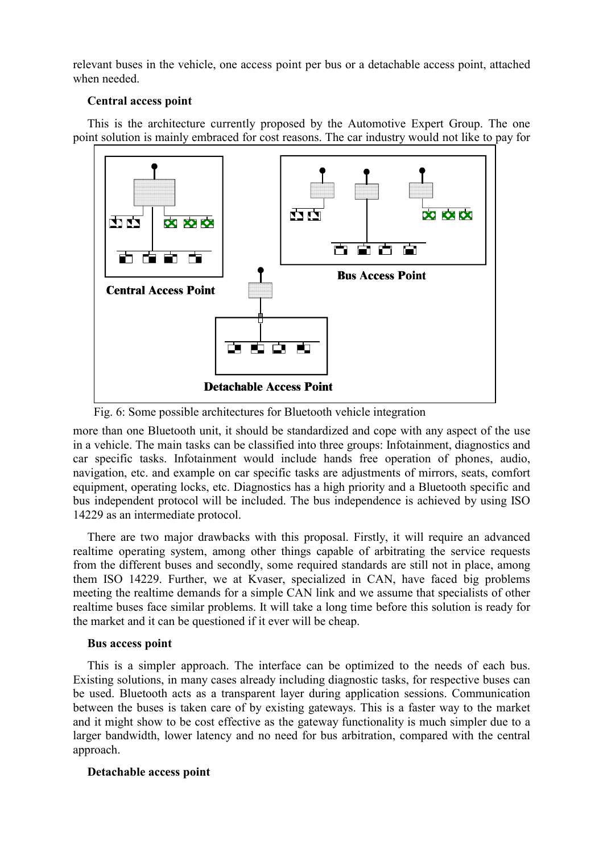relevant buses in the vehicle, one access point per bus or a detachable access point, attached when needed.

## **Central access point**

This is the architecture currently proposed by the Automotive Expert Group. The one point solution is mainly embraced for cost reasons. The car industry would not like to pay for



Fig. 6: Some possible architectures for Bluetooth vehicle integration

more than one Bluetooth unit, it should be standardized and cope with any aspect of the use in a vehicle. The main tasks can be classified into three groups: Infotainment, diagnostics and car specific tasks. Infotainment would include hands free operation of phones, audio, navigation, etc. and example on car specific tasks are adjustments of mirrors, seats, comfort equipment, operating locks, etc. Diagnostics has a high priority and a Bluetooth specific and bus independent protocol will be included. The bus independence is achieved by using ISO 14229 as an intermediate protocol.

There are two major drawbacks with this proposal. Firstly, it will require an advanced realtime operating system, among other things capable of arbitrating the service requests from the different buses and secondly, some required standards are still not in place, among them ISO 14229. Further, we at Kvaser, specialized in CAN, have faced big problems meeting the realtime demands for a simple CAN link and we assume that specialists of other realtime buses face similar problems. It will take a long time before this solution is ready for the market and it can be questioned if it ever will be cheap.

# **Bus access point**

This is a simpler approach. The interface can be optimized to the needs of each bus. Existing solutions, in many cases already including diagnostic tasks, for respective buses can be used. Bluetooth acts as a transparent layer during application sessions. Communication between the buses is taken care of by existing gateways. This is a faster way to the market and it might show to be cost effective as the gateway functionality is much simpler due to a larger bandwidth, lower latency and no need for bus arbitration, compared with the central approach.

# **Detachable access point**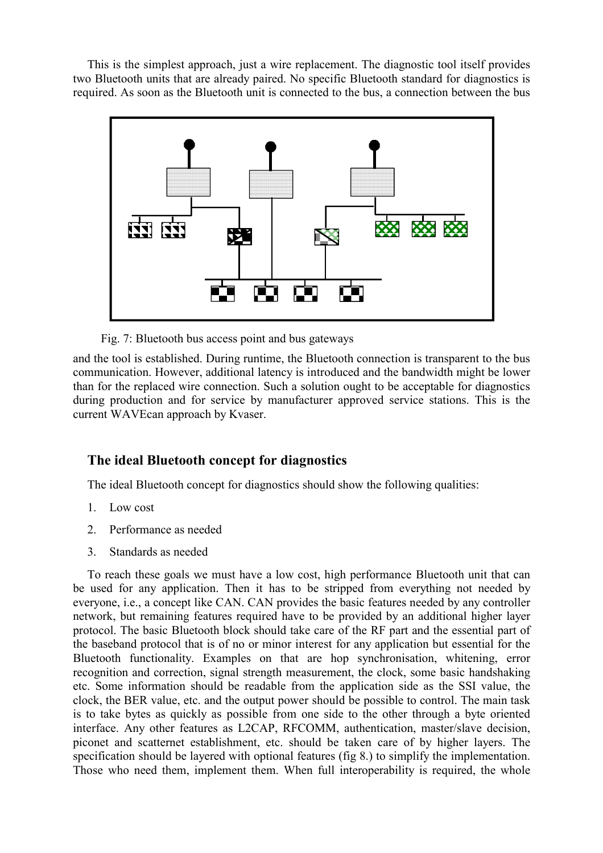This is the simplest approach, just a wire replacement. The diagnostic tool itself provides two Bluetooth units that are already paired. No specific Bluetooth standard for diagnostics is required. As soon as the Bluetooth unit is connected to the bus, a connection between the bus



Fig. 7: Bluetooth bus access point and bus gateways

and the tool is established. During runtime, the Bluetooth connection is transparent to the bus communication. However, additional latency is introduced and the bandwidth might be lower than for the replaced wire connection. Such a solution ought to be acceptable for diagnostics during production and for service by manufacturer approved service stations. This is the current WAVEcan approach by Kvaser.

# **The ideal Bluetooth concept for diagnostics**

The ideal Bluetooth concept for diagnostics should show the following qualities:

- 1. Low cost
- 2. Performance as needed
- 3. Standards as needed

To reach these goals we must have a low cost, high performance Bluetooth unit that can be used for any application. Then it has to be stripped from everything not needed by everyone, i.e., a concept like CAN. CAN provides the basic features needed by any controller network, but remaining features required have to be provided by an additional higher layer protocol. The basic Bluetooth block should take care of the RF part and the essential part of the baseband protocol that is of no or minor interest for any application but essential for the Bluetooth functionality. Examples on that are hop synchronisation, whitening, error recognition and correction, signal strength measurement, the clock, some basic handshaking etc. Some information should be readable from the application side as the SSI value, the clock, the BER value, etc. and the output power should be possible to control. The main task is to take bytes as quickly as possible from one side to the other through a byte oriented interface. Any other features as L2CAP, RFCOMM, authentication, master/slave decision, piconet and scatternet establishment, etc. should be taken care of by higher layers. The specification should be layered with optional features (fig 8.) to simplify the implementation. Those who need them, implement them. When full interoperability is required, the whole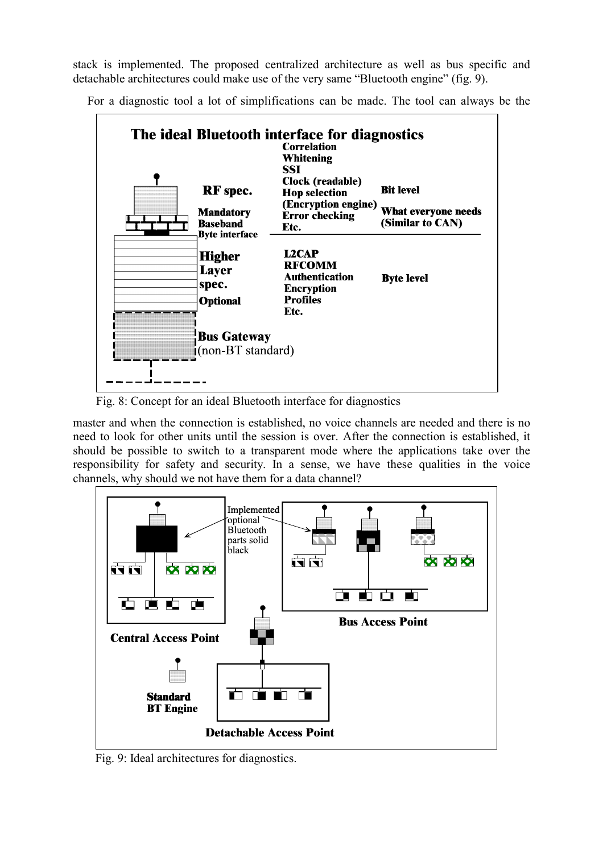stack is implemented. The proposed centralized architecture as well as bus specific and detachable architectures could make use of the very same "Bluetooth engine" (fig. 9).

For a diagnostic tool a lot of simplifications can be made. The tool can always be the



Fig. 8: Concept for an ideal Bluetooth interface for diagnostics

master and when the connection is established, no voice channels are needed and there is no need to look for other units until the session is over. After the connection is established, it should be possible to switch to a transparent mode where the applications take over the responsibility for safety and security. In a sense, we have these qualities in the voice channels, why should we not have them for a data channel?



Fig. 9: Ideal architectures for diagnostics.